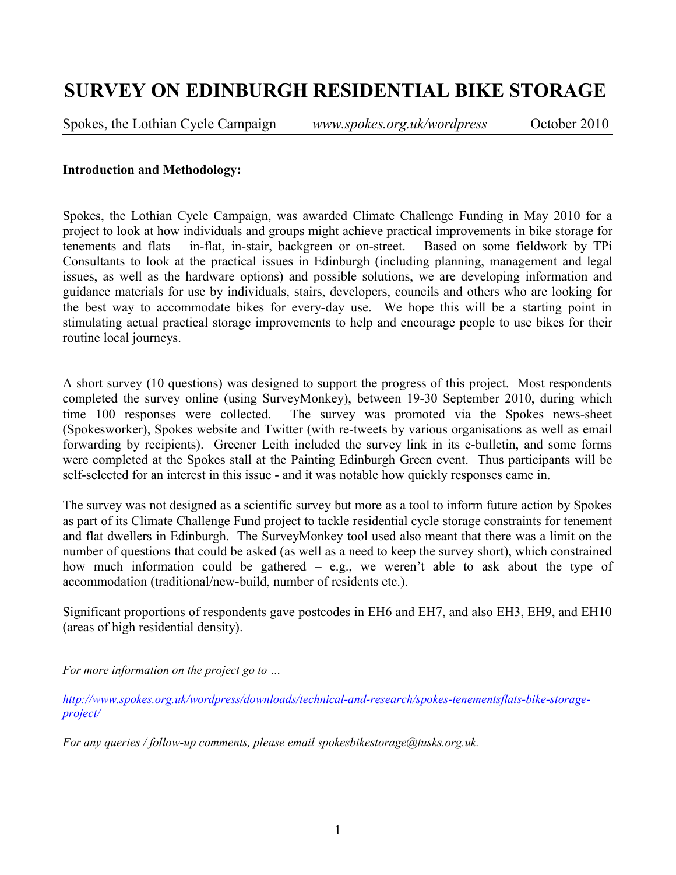# **SURVEY ON EDINBURGH RESIDENTIAL BIKE STORAGE**

Spokes, the Lothian Cycle Campaign *www.spokes.org.uk/wordpress* October 2010

#### **Introduction and Methodology:**

Spokes, the Lothian Cycle Campaign, was awarded Climate Challenge Funding in May 2010 for a project to look at how individuals and groups might achieve practical improvements in bike storage for tenements and flats – in-flat, in-stair, backgreen or on-street. Based on some fieldwork by TPi Consultants to look at the practical issues in Edinburgh (including planning, management and legal issues, as well as the hardware options) and possible solutions, we are developing information and guidance materials for use by individuals, stairs, developers, councils and others who are looking for the best way to accommodate bikes for every-day use. We hope this will be a starting point in stimulating actual practical storage improvements to help and encourage people to use bikes for their routine local journeys.

A short survey (10 questions) was designed to support the progress of this project. Most respondents completed the survey online (using SurveyMonkey), between 19-30 September 2010, during which time 100 responses were collected. The survey was promoted via the Spokes news-sheet (Spokesworker), Spokes website and Twitter (with re-tweets by various organisations as well as email forwarding by recipients). Greener Leith included the survey link in its e-bulletin, and some forms were completed at the Spokes stall at the Painting Edinburgh Green event. Thus participants will be self-selected for an interest in this issue - and it was notable how quickly responses came in.

The survey was not designed as a scientific survey but more as a tool to inform future action by Spokes as part of its Climate Challenge Fund project to tackle residential cycle storage constraints for tenement and flat dwellers in Edinburgh. The SurveyMonkey tool used also meant that there was a limit on the number of questions that could be asked (as well as a need to keep the survey short), which constrained how much information could be gathered – e.g., we weren't able to ask about the type of accommodation (traditional/new-build, number of residents etc.).

Significant proportions of respondents gave postcodes in EH6 and EH7, and also EH3, EH9, and EH10 (areas of high residential density).

*For more information on the project go to …*

*[http://www.spokes.org.uk/wordpress/downloads/technical-and-research/spokes-tenementsflats-bike-storage](http://www.spokes.org.uk/wordpress/downloads/technical-and-research/spokes-tenementsflats-bike-storage-project/)[project/](http://www.spokes.org.uk/wordpress/downloads/technical-and-research/spokes-tenementsflats-bike-storage-project/)*

*For any queries / follow-up comments, please email spokesbikestorage@tusks.org.uk.*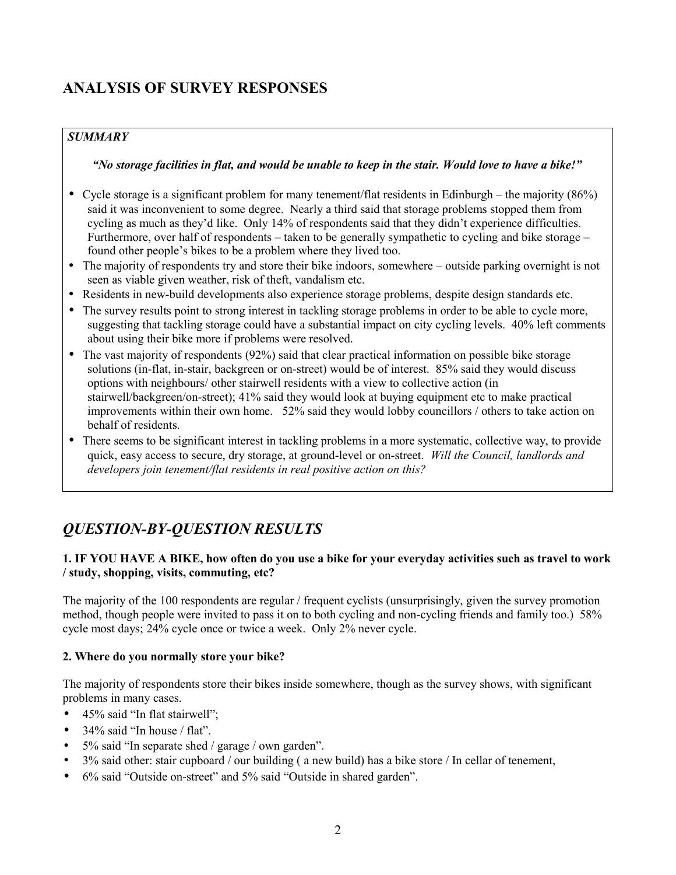## **ANALYSIS OF SURVEY RESPONSES**

## *SUMMARY*

## *"No storage facilities in flat, and would be unable to keep in the stair. Would love to have a bike!"*

- Cycle storage is a significant problem for many tenement/flat residents in Edinburgh the majority (86%) said it was inconvenient to some degree. Nearly a third said that storage problems stopped them from cycling as much as they'd like. Only 14% of respondents said that they didn't experience difficulties. Furthermore, over half of respondents – taken to be generally sympathetic to cycling and bike storage – found other people's bikes to be a problem where they lived too.
- The majority of respondents try and store their bike indoors, somewhere outside parking overnight is not seen as viable given weather, risk of theft, vandalism etc.
- Residents in new-build developments also experience storage problems, despite design standards etc.
- The survey results point to strong interest in tackling storage problems in order to be able to cycle more, suggesting that tackling storage could have a substantial impact on city cycling levels. 40% left comments about using their bike more if problems were resolved.
- The vast majority of respondents (92%) said that clear practical information on possible bike storage solutions (in-flat, in-stair, backgreen or on-street) would be of interest. 85% said they would discuss options with neighbours/ other stairwell residents with a view to collective action (in stairwell/backgreen/on-street); 41% said they would look at buying equipment etc to make practical improvements within their own home. 52% said they would lobby councillors / others to take action on behalf of residents.
- There seems to be significant interest in tackling problems in a more systematic, collective way, to provide quick, easy access to secure, dry storage, at ground-level or on-street. *Will the Council, landlords and developers join tenement/flat residents in real positive action on this?*

## *QUESTION-BY-QUESTION RESULTS*

## **1. IF YOU HAVE A BIKE, how often do you use a bike for your everyday activities such as travel to work / study, shopping, visits, commuting, etc?**

The majority of the 100 respondents are regular / frequent cyclists (unsurprisingly, given the survey promotion method, though people were invited to pass it on to both cycling and non-cycling friends and family too.) 58% cycle most days; 24% cycle once or twice a week. Only 2% never cycle.

## **2. Where do you normally store your bike?**

The majority of respondents store their bikes inside somewhere, though as the survey shows, with significant problems in many cases.

- 45% said "In flat stairwell":
- $\bullet$  34% said "In house / flat".
- 5% said "In separate shed / garage / own garden".
- 3% said other: stair cupboard / our building (a new build) has a bike store / In cellar of tenement,
- 6% said "Outside on-street" and 5% said "Outside in shared garden".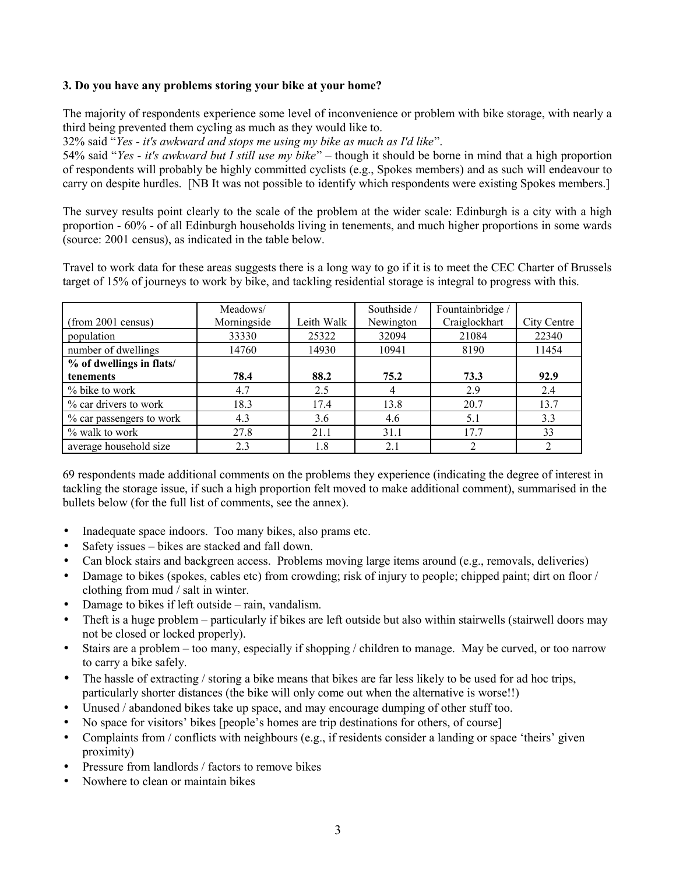#### **3. Do you have any problems storing your bike at your home?**

The majority of respondents experience some level of inconvenience or problem with bike storage, with nearly a third being prevented them cycling as much as they would like to.

32% said "*Yes - it's awkward and stops me using my bike as much as I'd like*".

54% said "*Yes - it's awkward but I still use my bike*" – though it should be borne in mind that a high proportion of respondents will probably be highly committed cyclists (e.g., Spokes members) and as such will endeavour to carry on despite hurdles. [NB It was not possible to identify which respondents were existing Spokes members.]

The survey results point clearly to the scale of the problem at the wider scale: Edinburgh is a city with a high proportion - 60% - of all Edinburgh households living in tenements, and much higher proportions in some wards (source: 2001 census), as indicated in the table below.

Travel to work data for these areas suggests there is a long way to go if it is to meet the CEC Charter of Brussels target of 15% of journeys to work by bike, and tackling residential storage is integral to progress with this.

|                          | Meadows/    |            | Southside / | Fountainbridge |             |
|--------------------------|-------------|------------|-------------|----------------|-------------|
| (from 2001 census)       | Morningside | Leith Walk | Newington   | Craiglockhart  | City Centre |
| population               | 33330       | 25322      | 32094       | 21084          | 22340       |
| number of dwellings      | 14760       | 14930      | 10941       | 8190           | 11454       |
| % of dwellings in flats/ |             |            |             |                |             |
| tenements                | 78.4        | 88.2       | 75.2        | 73.3           | 92.9        |
| % bike to work           | 4.7         | 2.5        | 4           | 2.9            | 2.4         |
| % car drivers to work    | 18.3        | 17.4       | 13.8        | 20.7           | 13.7        |
| % car passengers to work | 4.3         | 3.6        | 4.6         | 5.1            | 3.3         |
| % walk to work           | 27.8        | 21.1       | 31.1        | 17.7           | 33          |
| average household size   | 2.3         | 1.8        | 2.1         |                |             |

69 respondents made additional comments on the problems they experience (indicating the degree of interest in tackling the storage issue, if such a high proportion felt moved to make additional comment), summarised in the bullets below (for the full list of comments, see the annex).

- Inadequate space indoors. Too many bikes, also prams etc.
- Safety issues bikes are stacked and fall down.
- Can block stairs and backgreen access. Problems moving large items around (e.g., removals, deliveries)
- Damage to bikes (spokes, cables etc) from crowding; risk of injury to people; chipped paint; dirt on floor / clothing from mud / salt in winter.
- Damage to bikes if left outside rain, vandalism.
- Theft is a huge problem particularly if bikes are left outside but also within stairwells (stairwell doors may not be closed or locked properly).
- Stairs are a problem too many, especially if shopping / children to manage. May be curved, or too narrow to carry a bike safely.
- The hassle of extracting / storing a bike means that bikes are far less likely to be used for ad hoc trips, particularly shorter distances (the bike will only come out when the alternative is worse!!)
- Unused / abandoned bikes take up space, and may encourage dumping of other stuff too.
- No space for visitors' bikes [people's homes are trip destinations for others, of course]
- Complaints from / conflicts with neighbours (e.g., if residents consider a landing or space 'theirs' given proximity)
- Pressure from landlords / factors to remove bikes
- Nowhere to clean or maintain bikes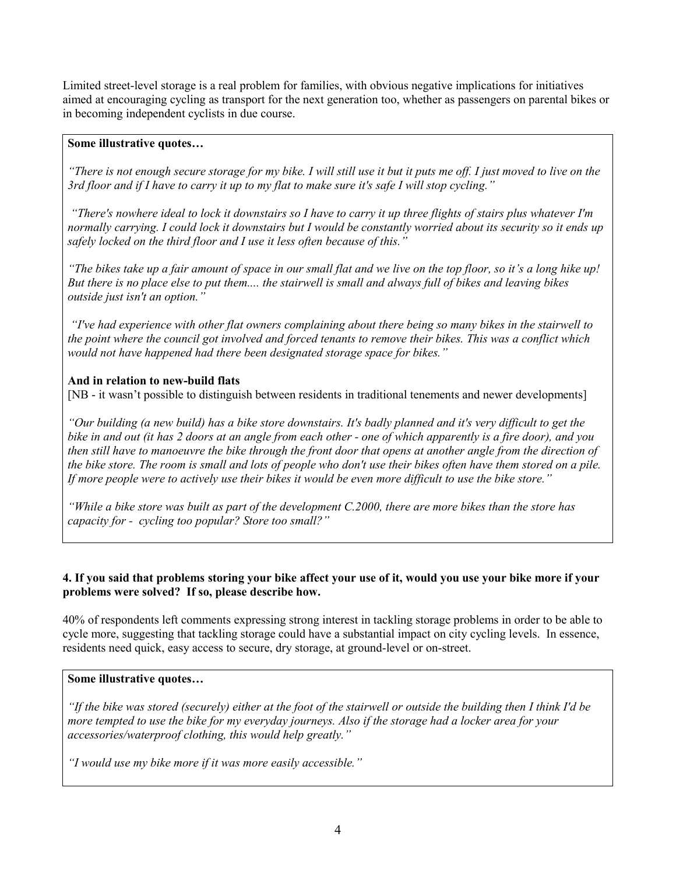Limited street-level storage is a real problem for families, with obvious negative implications for initiatives aimed at encouraging cycling as transport for the next generation too, whether as passengers on parental bikes or in becoming independent cyclists in due course.

#### **Some illustrative quotes…**

*"There is not enough secure storage for my bike. I will still use it but it puts me off. I just moved to live on the 3rd floor and if I have to carry it up to my flat to make sure it's safe I will stop cycling."*

 *"There's nowhere ideal to lock it downstairs so I have to carry it up three flights of stairs plus whatever I'm normally carrying. I could lock it downstairs but I would be constantly worried about its security so it ends up safely locked on the third floor and I use it less often because of this."*

*"The bikes take up a fair amount of space in our small flat and we live on the top floor, so it's a long hike up! But there is no place else to put them.... the stairwell is small and always full of bikes and leaving bikes outside just isn't an option."*

 *"I've had experience with other flat owners complaining about there being so many bikes in the stairwell to the point where the council got involved and forced tenants to remove their bikes. This was a conflict which would not have happened had there been designated storage space for bikes."*

#### **And in relation to new-build flats**

[NB - it wasn't possible to distinguish between residents in traditional tenements and newer developments]

*"Our building (a new build) has a bike store downstairs. It's badly planned and it's very difficult to get the bike in and out (it has 2 doors at an angle from each other - one of which apparently is a fire door), and you then still have to manoeuvre the bike through the front door that opens at another angle from the direction of the bike store. The room is small and lots of people who don't use their bikes often have them stored on a pile. If more people were to actively use their bikes it would be even more difficult to use the bike store."*

*"While a bike store was built as part of the development C.2000, there are more bikes than the store has capacity for - cycling too popular? Store too small?"*

#### **4. If you said that problems storing your bike affect your use of it, would you use your bike more if your problems were solved? If so, please describe how.**

40% of respondents left comments expressing strong interest in tackling storage problems in order to be able to cycle more, suggesting that tackling storage could have a substantial impact on city cycling levels. In essence, residents need quick, easy access to secure, dry storage, at ground-level or on-street.

#### **Some illustrative quotes…**

*"If the bike was stored (securely) either at the foot of the stairwell or outside the building then I think I'd be more tempted to use the bike for my everyday journeys. Also if the storage had a locker area for your accessories/waterproof clothing, this would help greatly."*

*"I would use my bike more if it was more easily accessible."*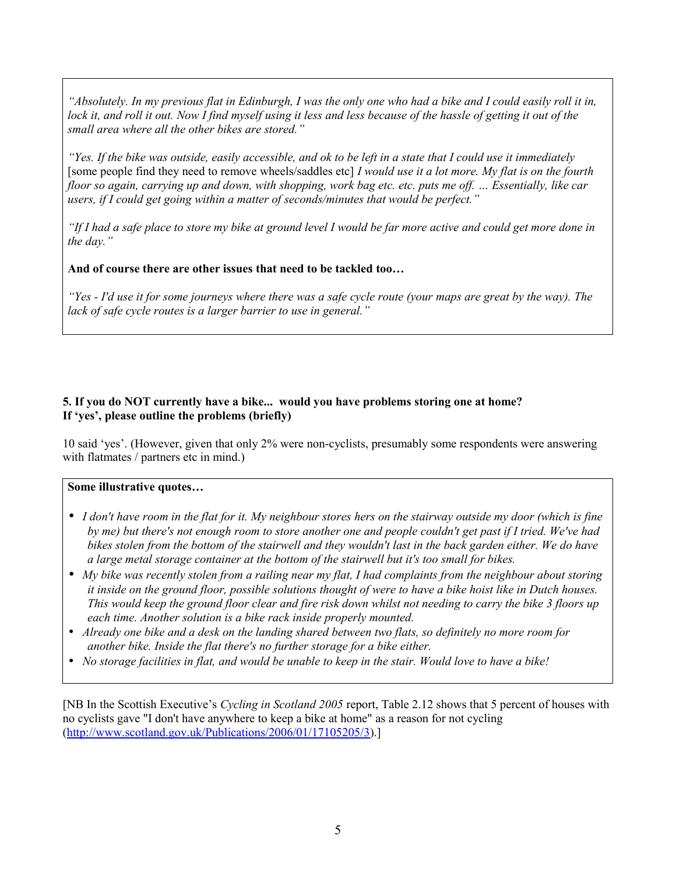*"Absolutely. In my previous flat in Edinburgh, I was the only one who had a bike and I could easily roll it in, lock it, and roll it out. Now I find myself using it less and less because of the hassle of getting it out of the small area where all the other bikes are stored."*

*"Yes. If the bike was outside, easily accessible, and ok to be left in a state that I could use it immediately* [some people find they need to remove wheels/saddles etc] *I would use it a lot more. My flat is on the fourth floor so again, carrying up and down, with shopping, work bag etc. etc. puts me off. … Essentially, like car users, if I could get going within a matter of seconds/minutes that would be perfect."*

*"If I had a safe place to store my bike at ground level I would be far more active and could get more done in the day."*

**And of course there are other issues that need to be tackled too…**

*"Yes - I'd use it for some journeys where there was a safe cycle route (your maps are great by the way). The lack of safe cycle routes is a larger barrier to use in general."*

### **5. If you do NOT currently have a bike... would you have problems storing one at home? If 'yes', please outline the problems (briefly)**

10 said 'yes'. (However, given that only 2% were non-cyclists, presumably some respondents were answering with flatmates / partners etc in mind.)

#### **Some illustrative quotes…**

- *I don't have room in the flat for it. My neighbour stores hers on the stairway outside my door (which is fine by me) but there's not enough room to store another one and people couldn't get past if I tried. We've had bikes stolen from the bottom of the stairwell and they wouldn't last in the back garden either. We do have a large metal storage container at the bottom of the stairwell but it's too small for bikes.*
- *My bike was recently stolen from a railing near my flat, I had complaints from the neighbour about storing it inside on the ground floor, possible solutions thought of were to have a bike hoist like in Dutch houses. This would keep the ground floor clear and fire risk down whilst not needing to carry the bike 3 floors up each time. Another solution is a bike rack inside properly mounted.*
- *Already one bike and a desk on the landing shared between two flats, so definitely no more room for another bike. Inside the flat there's no further storage for a bike either.*
- *No storage facilities in flat, and would be unable to keep in the stair. Would love to have a bike!*

[NB In the Scottish Executive's *Cycling in Scotland 2005* report, Table 2.12 shows that 5 percent of houses with no cyclists gave "I don't have anywhere to keep a bike at home" as a reason for not cycling [\(http://www.scotland.gov.uk/Publications/2006/01/17105205/3\)](http://www.scotland.gov.uk/Publications/2006/01/17105205/3).]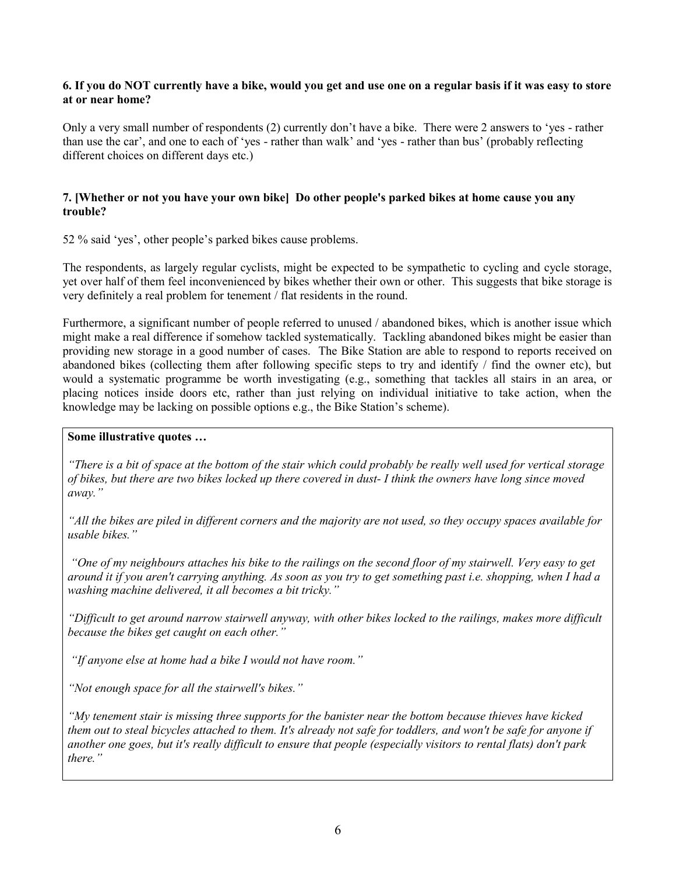#### **6. If you do NOT currently have a bike, would you get and use one on a regular basis if it was easy to store at or near home?**

Only a very small number of respondents (2) currently don't have a bike. There were 2 answers to 'yes - rather than use the car', and one to each of 'yes - rather than walk' and 'yes - rather than bus' (probably reflecting different choices on different days etc.)

#### **7. [Whether or not you have your own bike] Do other people's parked bikes at home cause you any trouble?**

52 % said 'yes', other people's parked bikes cause problems.

The respondents, as largely regular cyclists, might be expected to be sympathetic to cycling and cycle storage, yet over half of them feel inconvenienced by bikes whether their own or other. This suggests that bike storage is very definitely a real problem for tenement / flat residents in the round.

Furthermore, a significant number of people referred to unused / abandoned bikes, which is another issue which might make a real difference if somehow tackled systematically. Tackling abandoned bikes might be easier than providing new storage in a good number of cases. The Bike Station are able to respond to reports received on abandoned bikes (collecting them after following specific steps to try and identify / find the owner etc), but would a systematic programme be worth investigating (e.g., something that tackles all stairs in an area, or placing notices inside doors etc, rather than just relying on individual initiative to take action, when the knowledge may be lacking on possible options e.g., the Bike Station's scheme).

#### **Some illustrative quotes …**

*"There is a bit of space at the bottom of the stair which could probably be really well used for vertical storage of bikes, but there are two bikes locked up there covered in dust- I think the owners have long since moved away."*

*"All the bikes are piled in different corners and the majority are not used, so they occupy spaces available for usable bikes."*

 *"One of my neighbours attaches his bike to the railings on the second floor of my stairwell. Very easy to get around it if you aren't carrying anything. As soon as you try to get something past i.e. shopping, when I had a washing machine delivered, it all becomes a bit tricky."*

*"Difficult to get around narrow stairwell anyway, with other bikes locked to the railings, makes more difficult because the bikes get caught on each other."*

 *"If anyone else at home had a bike I would not have room."*

*"Not enough space for all the stairwell's bikes."*

*"My tenement stair is missing three supports for the banister near the bottom because thieves have kicked them out to steal bicycles attached to them. It's already not safe for toddlers, and won't be safe for anyone if another one goes, but it's really difficult to ensure that people (especially visitors to rental flats) don't park there."*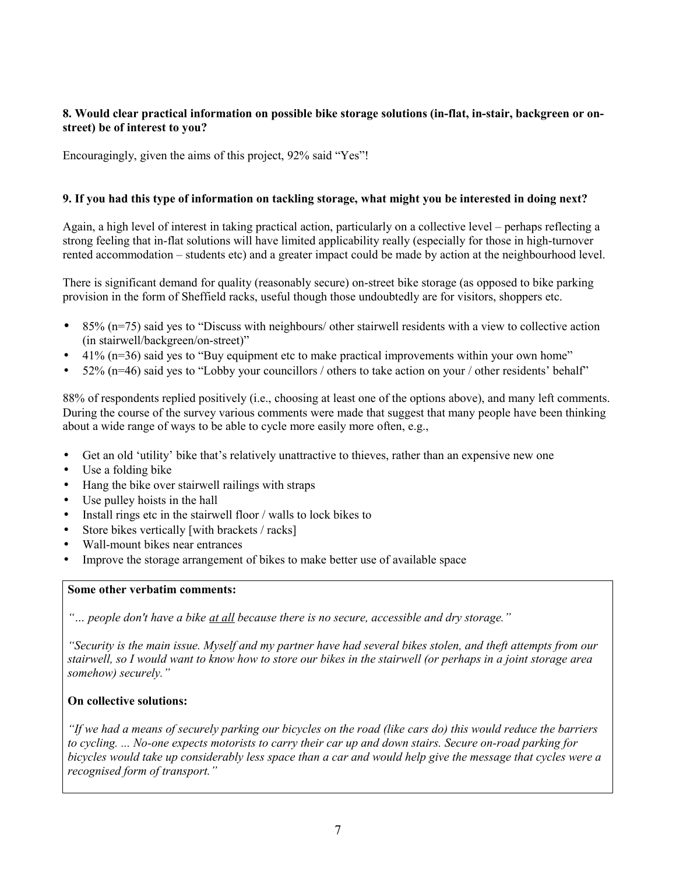### **8. Would clear practical information on possible bike storage solutions (in-flat, in-stair, backgreen or onstreet) be of interest to you?**

Encouragingly, given the aims of this project, 92% said "Yes"!

#### **9. If you had this type of information on tackling storage, what might you be interested in doing next?**

Again, a high level of interest in taking practical action, particularly on a collective level – perhaps reflecting a strong feeling that in-flat solutions will have limited applicability really (especially for those in high-turnover rented accommodation – students etc) and a greater impact could be made by action at the neighbourhood level.

There is significant demand for quality (reasonably secure) on-street bike storage (as opposed to bike parking provision in the form of Sheffield racks, useful though those undoubtedly are for visitors, shoppers etc.

- 85% (n=75) said yes to "Discuss with neighbours/ other stairwell residents with a view to collective action (in stairwell/backgreen/on-street)"
- 41% (n=36) said yes to "Buy equipment etc to make practical improvements within your own home"
- $52\%$  (n=46) said yes to "Lobby your councillors / others to take action on your / other residents' behalf"

88% of respondents replied positively (i.e., choosing at least one of the options above), and many left comments. During the course of the survey various comments were made that suggest that many people have been thinking about a wide range of ways to be able to cycle more easily more often, e.g.,

- Get an old 'utility' bike that's relatively unattractive to thieves, rather than an expensive new one
- Use a folding bike
- Hang the bike over stairwell railings with straps
- Use pulley hoists in the hall
- Install rings etc in the stairwell floor / walls to lock bikes to
- Store bikes vertically [with brackets / racks]
- Wall-mount bikes near entrances
- Improve the storage arrangement of bikes to make better use of available space

#### **Some other verbatim comments:**

*"… people don't have a bike at all because there is no secure, accessible and dry storage."*

*"Security is the main issue. Myself and my partner have had several bikes stolen, and theft attempts from our stairwell, so I would want to know how to store our bikes in the stairwell (or perhaps in a joint storage area somehow) securely."*

#### **On collective solutions:**

*"If we had a means of securely parking our bicycles on the road (like cars do) this would reduce the barriers to cycling. ... No-one expects motorists to carry their car up and down stairs. Secure on-road parking for bicycles would take up considerably less space than a car and would help give the message that cycles were a recognised form of transport."*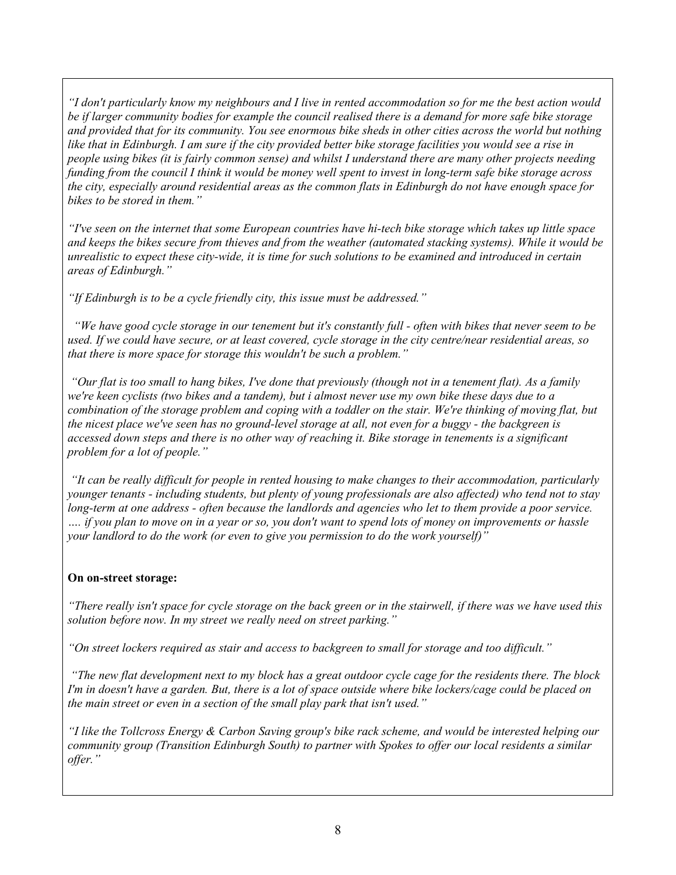*"I don't particularly know my neighbours and I live in rented accommodation so for me the best action would be if larger community bodies for example the council realised there is a demand for more safe bike storage and provided that for its community. You see enormous bike sheds in other cities across the world but nothing like that in Edinburgh. I am sure if the city provided better bike storage facilities you would see a rise in people using bikes (it is fairly common sense) and whilst I understand there are many other projects needing funding from the council I think it would be money well spent to invest in long-term safe bike storage across the city, especially around residential areas as the common flats in Edinburgh do not have enough space for bikes to be stored in them."*

*"I've seen on the internet that some European countries have hi-tech bike storage which takes up little space and keeps the bikes secure from thieves and from the weather (automated stacking systems). While it would be unrealistic to expect these city-wide, it is time for such solutions to be examined and introduced in certain areas of Edinburgh."*

*"If Edinburgh is to be a cycle friendly city, this issue must be addressed."*

 *"We have good cycle storage in our tenement but it's constantly full - often with bikes that never seem to be used. If we could have secure, or at least covered, cycle storage in the city centre/near residential areas, so that there is more space for storage this wouldn't be such a problem."*

 *"Our flat is too small to hang bikes, I've done that previously (though not in a tenement flat). As a family we're keen cyclists (two bikes and a tandem), but i almost never use my own bike these days due to a combination of the storage problem and coping with a toddler on the stair. We're thinking of moving flat, but the nicest place we've seen has no ground-level storage at all, not even for a buggy - the backgreen is accessed down steps and there is no other way of reaching it. Bike storage in tenements is a significant problem for a lot of people."*

 *"It can be really difficult for people in rented housing to make changes to their accommodation, particularly younger tenants - including students, but plenty of young professionals are also affected) who tend not to stay long-term at one address - often because the landlords and agencies who let to them provide a poor service. …. if you plan to move on in a year or so, you don't want to spend lots of money on improvements or hassle your landlord to do the work (or even to give you permission to do the work yourself)"*

## **On on-street storage:**

*"There really isn't space for cycle storage on the back green or in the stairwell, if there was we have used this solution before now. In my street we really need on street parking."*

*"On street lockers required as stair and access to backgreen to small for storage and too difficult."*

 *"The new flat development next to my block has a great outdoor cycle cage for the residents there. The block I'm in doesn't have a garden. But, there is a lot of space outside where bike lockers/cage could be placed on the main street or even in a section of the small play park that isn't used."*

*"I like the Tollcross Energy & Carbon Saving group's bike rack scheme, and would be interested helping our community group (Transition Edinburgh South) to partner with Spokes to offer our local residents a similar offer."*